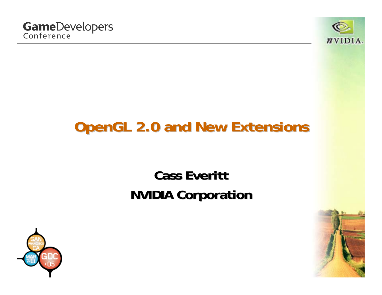

# **OpenGL 2.0 and New Extensions OpenGL 2.0 and New Extensions**

#### **Cass Everitt EverittNVIDIA Corporation NVIDIA Corporation**



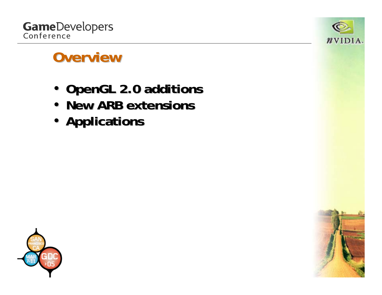



#### **Overview Overview**

- **OpenGL 2.0 additions OpenGL 2.0 additions**
- **New ARB extensions New ARB extensions**
- **Applications Applications**



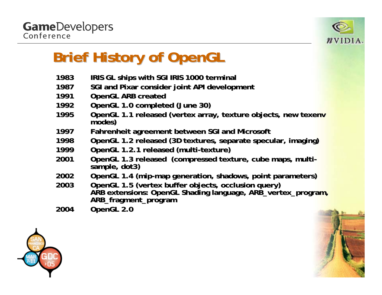

# **Brief History of OpenGL Brief History of OpenGL**

- **19833** IRIS GL ships with SGI IRIS 1000 terminal
- **19877** SGI and Pixar consider joint API development
- **1991**1 OpenGL ARB created
- **1992**2 OpenGL 1.0 completed (June 30)
- **1995 OpenGL 1.1 r eleased ( vertex array, t ex array, t exture objects, e objects, n ew texenv modes)**
- **19977** • Fahrenheit agreement between SGI and Microsoft
- **1998OpenGL 1.2 r eleased ( 3D t extures, s eparat e specular specular, imaging) ,**
- **1999 OpenGL 1.2.1 r 1.2.1 r eleased (multi ed (multi-texture) texture)**
- **2001OpenGL 1.3 r eleased ( compressed t essed t exture, c ube maps, mult be maps, multi- sample, dot3) sample, dot3)**
- **20022** OpenGL 1.4 (mip-map generation, shadows, point parameters)
- **2003OpenGL 1.5 (vertex buffer objects, occlusion query) ARB extensions: OpenGL Shading language, ARB\_vertex\_program, ARB\_fragment\_program**
- **2004OpenGL 2.0**



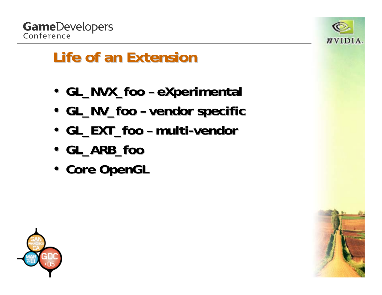



### **Life of an Extension Life of an Extension**

- GL\_NVX\_foo **eXperimental eXperimental**
- GL\_NV\_foo **vendor specific vendor specific**
- GL\_EXT\_foo **– multi -vendor**
- **GL\_ARB\_foo GL\_ARB\_foo**
- **Core OpenGL Core OpenGL**



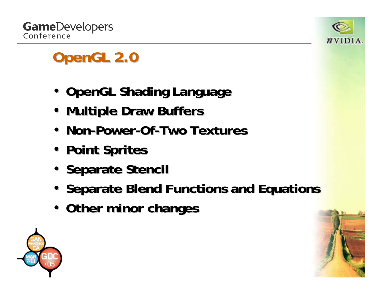



# **OpenGL 2.0 OpenGL 2.0**

- **OpenGL Shading Language OpenGL Shading Language**
- **Multiple Draw Buffers Multiple Draw Buffers**
- Non-Power-Of-Two Textures
- **Point Sprites Point Sprites**
- **Separate Stencil**
- **Separate Blend Functions and Equations**
- **Other minor changes Other minor changes**



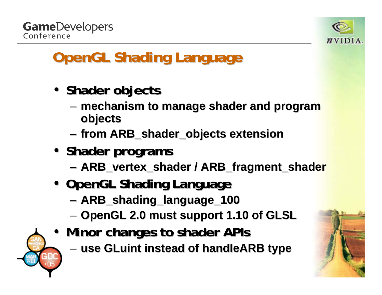**GameDevelopers** Conference



# **OpenGL Shading Language**

- **Shader objects objects**
	- –**mechanism to manage shader and program objects objects**
	- **Links of the Common from ARB\_shader\_objects ARB\_shader\_objects extension extension**
- **Shader programs programs**
	- **Links of the Common ARB\_vertex\_shader ARB\_vertex\_shader / ARB\_fragment\_shader ARB\_fragment\_shader**
- **OpenGL Shading Language OpenGL Shading Language**
	- and the state of the **ARB\_shading\_language\_100 ARB\_shading\_language\_100**
	- –**OpenGL 2.0 must support 1.10 of GLSL OpenGL 2.0 must support 1.10 of GLSL**
- Minor changes to shader APIs
	- **use GLuint instead of instead of handleARB handleARB type**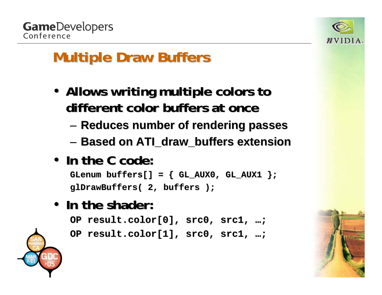



## **Multiple Draw Buffers Multiple Draw Buffers**

- Allows writing multiple colors to **different color buffers at once different color buffers at once**
	- –**Reduces number of rendering passes Reduces number of rendering passes**
	- –**Based on Based on ATI\_draw\_buffers ATI\_draw\_buffers extension extension**
- **In the C code: In the C code:**

**GLenum buffers[] = { GL\_AUX0, GL\_AUX1 }; buffers[] = { GL\_AUX0, GL\_AUX1 }; glDrawBuffers glDrawBuffers( 2, buffers ); ( 2, buffers );**

• **In the shader: In the shader:**

**OP result.color[0], src0, src1, OP result.color[0], src0, src1, … ;**

**OP result.color[1], src0, src1, OP result.color[1], src0, src1, … ;**



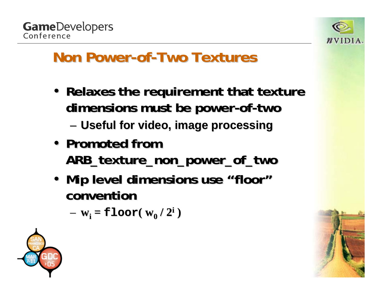

#### **Non Power-of-Two Textures**

- **Relaxes the requirement that texture dimensions must be power dimensions must be power-of-two**
	- – $-$  Useful for video, image processing
- Promoted from **ARB\_texture\_non\_power\_of\_two ARB\_texture\_non\_power\_of\_two**
- Mip level dimensions use "floor" **convention convention**

– **wi <sup>=</sup>floor( w0 / 2i )**



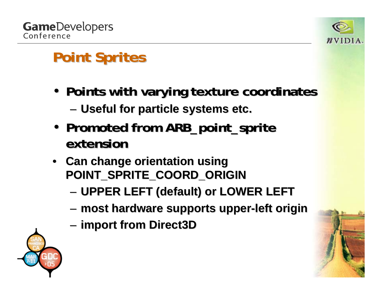

# **Point Sprites Point Sprites**

- **Points with varying texture coordinates Points with varying texture coordinates**
	- **Links of the Common Useful for particle systems etc. Useful for particle systems etc.**
- Promoted from ARB\_point\_sprite **extension extension**
- **Can change orientation using POINT\_SPRITE\_COORD\_ORIGIN POINT\_SPRITE\_COORD\_ORIGIN**
	- **Links of the Common UPPER LEFT (default) or LOWER LEFT UPPER LEFT (default) or LOWER LEFT**
	- **Links of the Common most hardware supports upper most hardware supports upper-left origin left origin**
	- **Links of the Common import from Direct3D import from Direct3D**

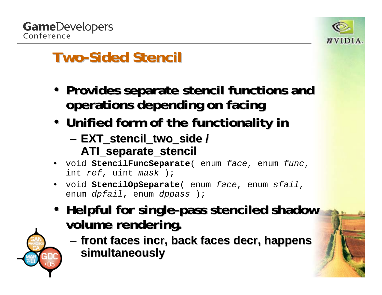



#### **Two-Sided Stencil**

- **Provides separate stencil functions and operations depending on facing operations depending on facing**
- **Unified form of the functionality in Unified form of the functionality in**
	- **Links of the Common EXT\_stencil\_two\_side EXT\_stencil\_two\_side / ATI\_separate\_stencil ATI\_separate\_stencil**
- void **StencilFuncSeparate**( enum *face*, enum *func*, int *ref*, uint *mask* );
- void **StencilOpSeparate**( enum *face*, enum *sfail*, enum *dpfail*, enum *dppass* );
- **Helpful for single-pass stenciled shadow volume rendering. volume rendering.**

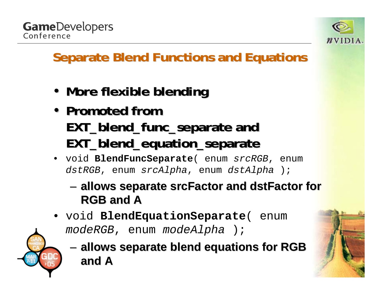



#### **Separate Blend Functions and Equations**

- **More flexible blending**
- Promoted from **EXT\_blend\_func\_separate EXT\_blend\_func\_separate and EXT\_blend\_equation\_separate EXT\_blend\_equation\_separate**
- void **BlendFuncSeparate**( enum *srcRGB*, enum *dstRGB*, enum *srcAlpha*, enum *dstAlpha* );
	- – **allows separate allows separate srcFactor srcFactor and dstFactor dstFactor for RGB and A RGB and A**
- void **BlendEquationSeparate**( enum *modeRGB*, enum *modeAlpha* );
	- **Links of the Common allows separate blend equations for RGB allows separate blend equations for RGB and A**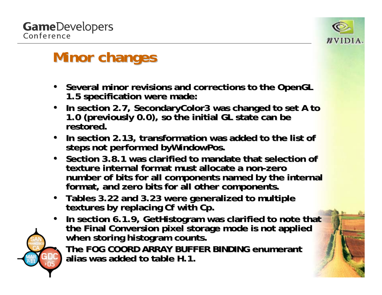•



### **Minor changes Minor changes**

- Several minor revisions and corrections to the OpenGL 1.5 specification were made:
- In section 2.7, Secondary Color 3 was changed to set A to 1.0 (previously 0.0), so the initial GL state can be<br>restored.
- $\bullet$ In section 2.13, transformation was added to the list of steps not performed byWindowPos.
- Section 3.8.1 was clarified to mandate that selection of **texture internal format must allocate a non texture internal format must allocate a non-zero** number of bits for all components named by the internal format, and zero bits for all other components.
- $\bullet$ **Tables 3.22 and 3.23 were generalized to multiple Tables 3.22 and 3.23 were generalized to multiple textures by replacing textures by replacing Cf with Cp. with Cp.**
- $\bullet$ In section 6.1.9, GetHistogram was clarified to note that<br>the Final Conversion pixel storage mode is not applied<br>when storing histogram counts.

**The FOG COORD ARRAY BUFFER BINDING enumerant alias was added to table H.1.**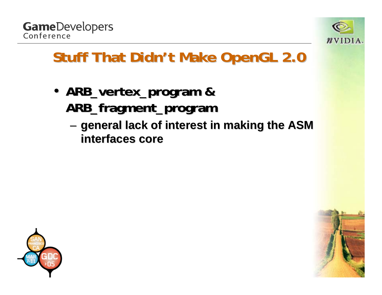



### **Stuff That Didn't Make OpenGL 2.0**

- **ARB\_vertex\_program ARB\_vertex\_program & ARB\_fragment\_program ARB\_fragment\_program**
	- – **general lack of interest in making the ASM general lack of interest in making the ASM interfaces core interfaces core**



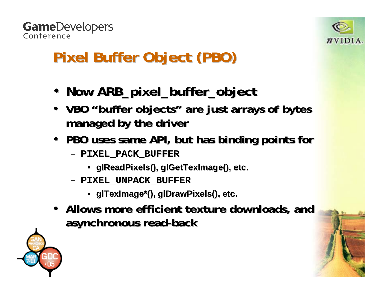

# **Pixel Buffer Object (PBO) Pixel Buffer Object (PBO)**

- **Now ARB\_pixel\_buffer\_object ARB\_pixel\_buffer\_object**
- VBO "buffer objects" are just arrays of bytes **managed by the driver managed by the driver**
- **PBO uses same API, but has binding points for** 
	- **PIXEL\_PACK\_BUFFER PIXEL\_PACK\_BUFFER**
		- **glReadPixels glReadPixels(), glGetTexImage glGetTexImage(), etc. (), etc.**
	- **PIXEL\_UNPACK\_BUFFER PIXEL\_UNPACK\_BUFFER**
		- **glTexImage glTexImage\*(), glDrawPixels glDrawPixels(), etc. (), etc.**
- Allows more efficient texture downloads, and **asynchronous read asynchronous read-back**



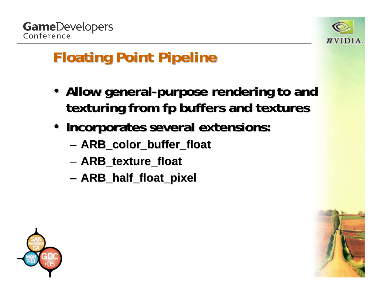



# **Floating Point Pipeline Floating Point Pipeline**

- Allow general-purpose rendering to and **texturing from fp buffers and textures**
- **Incorporates several extensions: Incorporates several extensions:**
	- and the state of the **ARB\_color\_buffer\_float ARB\_color\_buffer\_float**
	- and the state of the **ARB\_texture\_float ARB\_texture\_float**
	- and the state of the **ARB\_half\_float\_pixel ARB\_half\_float\_pixel**



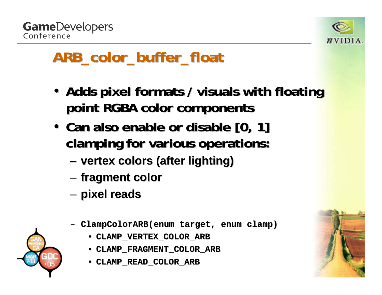



### **ARB\_color\_buffer\_float ARB\_color\_buffer\_float**

- •• Adds pixel formats / visuals with floating **point RGBA color components point RGBA color components**
- •• Can also enable or disable [0, 1] **clamping for various operations: clamping for various operations:**
	- **Links of the Common vertex colors (after lighting) vertex colors (after lighting)**
	- **Links of the Common fragment color fragment color**
	- **Links of the Common pixel reads pixel reads**
	- **ClampColorARB(enum ClampColorARB(enumtarget, target, enum clamp)**
		- **CLAMP\_VERTEX\_COLOR\_ARB CLAMP\_VERTEX\_COLOR\_ARB**
		- **CLAMP\_FRAGMENT\_COLOR\_ARB CLAMP\_FRAGMENT\_COLOR\_ARB**
		- •**CLAMP\_READ\_COLOR\_ARB CLAMP\_READ\_COLOR\_ARB**

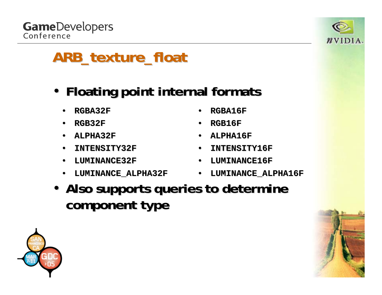**GameDevelopers** Conference



### **ARB\_texture\_float ARB\_texture\_float**

- **Floating point internal formats Floating point internal formats**
	- •**RGBA32F RGBA32F**
	- •**RGB32F**
	- •**ALPHA32F ALPHA32F**
	- •**INTENSITY32F INTENSITY32F**
	- •**LUMINANCE32F LUMINANCE32F**
	- •**LUMINANCE\_ALPHA32F LUMINANCE\_ALPHA32F**
- •**RGBA16F RGBA16F**
- •**RGB16F**
- •**ALPHA16F ALPHA16F**
- •**INTENSITY16F INTENSITY16F**
- •**LUMINANCE16F LUMINANCE16F**
- •**LUMINANCE\_ALPHA16F LUMINANCE\_ALPHA16F**
- Also supports queries to determine **component type component type**



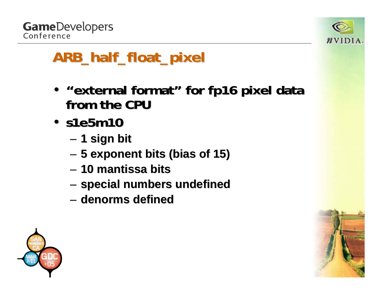



### **ARB\_half\_float\_pixel ARB\_half\_float\_pixel**

- • **"external format external format " for fp16 pixel data for fp16 pixel data from the CPU from the CPU**
- **s1e5m10 s1e5m10**
	- **Links of the Common 1 sign bit 1 sign bit**
	- and the state of the **5 exponent bits (bias of 15) 5 exponent bits (bias of 15)**
	- **10 mantissa bits 10 mantissa bits**
	- **Links of the Common special numbers undefined special numbers undefined**
	- **denorms denorms defined defined**



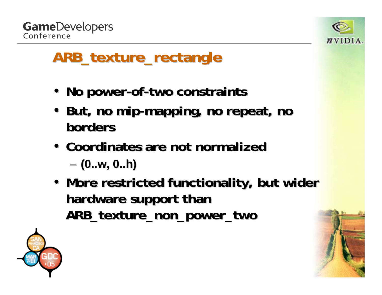

### **ARB\_texture\_rectangle ARB\_texture\_rectangle**

- **No power No power -of -two constraints two constraints**
- But, no mip-mapping, no repeat, no **borders borders**
- **Coordinates are not normalized Coordinates are not normalizedLinks of the Common (0..w, 0..h) (0..w, 0..h)**
- More restricted functionality, but wider hardware support than **ARB\_texture\_non\_power\_two ARB\_texture\_non\_power\_two**



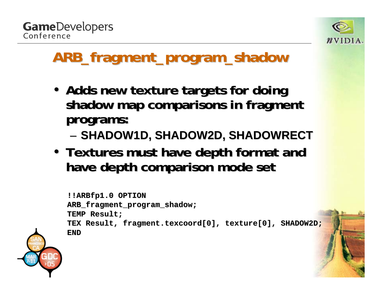**GameDevelopers** Conference



### **ARB\_fragment\_program\_shadow ARB\_fragment\_program\_shadow**

- Adds new texture targets for doing **shadow map comparisons in fragment shadow map comparisons in fragment programs: programs:**
	- **Links of the Common** — SHADOW1D, SHADOW2D, SHADOWRECT
- Textures must have depth format and **have depth comparison mode set have depth comparison mode set**

```
!!ARBfp1.0 OPTION !!ARBfp1.0 OPTION
ARB_fragment_program_shadow ARB_fragment_program_shadow
;
TEMP Result; TEMP Result;
TEX Result, fragment.texcoor TEX Result, fragment.texcoord[0], texture[0], SHADOW2D; d[0], texture[0], SHADOW2D;
END
```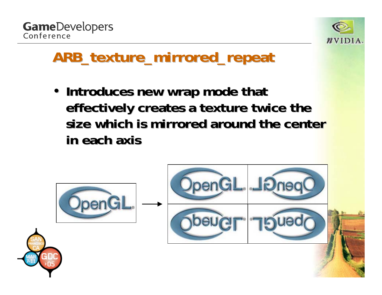



#### **ARB\_texture\_mirrored\_repeat ARB\_texture\_mirrored\_repeat**

• **Introduces new wrap mode that** effectively creates a texture twice the size which is mirrored around the center **in each axis in each axis**

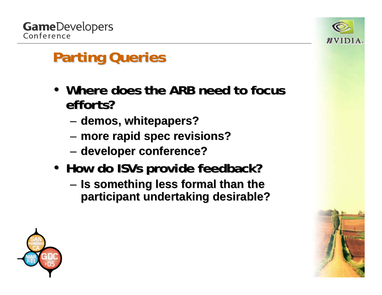

# **Parting Queries Parting Queries**

- Where does the ARB need to focus **efforts? efforts?**
	- and the state of the **demos, whitepapers? demos, whitepapers?**
	- –**more rapid spec revisions? more rapid spec revisions?**
	- **Links of the Common developer conference? developer conference?**
- **How do ISVs provide feedback? How do ISVs provide feedback?**
	- **Links of the Common Is something less formal than the Is something less formal than the participant undertaking desirable? participant undertaking desirable?**